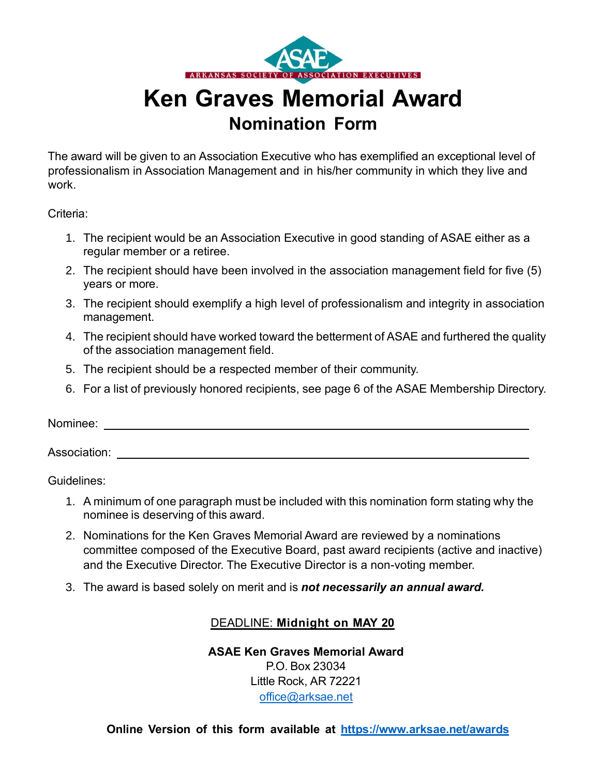

# **Ken Graves Memorial Award Nomination Form**

The award will be given to an Association Executive who has exemplified an exceptional level of professionalism in Association Management and in his/her community in which they live and work.

Criteria:

- 1. The recipient would be an Association Executive in good standing of ASAE either as a regular member or a retiree.
- 2. The recipient should have been involved in the association management field for five (5) years or more.
- 3. The recipient should exemplify a high level of professionalism and integrity in association management.
- 4. The recipient should have worked toward the betterment of ASAE and furthered the quality of the association management field.
- 5. The recipient should be a respected member of their community.
- 6. For a list of previously honored recipients, see page 6 of the ASAE Membership Directory.

Nominee:

Association:

Guidelines:

- 1. A minimum of one paragraph must be included with this nomination form stating why the nominee is deserving of this award.
- 2. Nominations for the Ken Graves Memorial Award are reviewed by a nominations committee composed of the Executive Board, past award recipients (active and inactive) and the Executive Director. The Executive Director is a non-voting member.
- 3. The award is based solely on merit and is *not necessarily an annual award.*

### DEADLINE: **Midnight on MAY 20**

**ASAE Ken Graves Memorial Award** P.O. Box 23034 Little Rock, AR 72221 [office@arksae.net](mailto:office@arksae.net)

**Online Version of this form available at <https://www.arksae.net/awards>**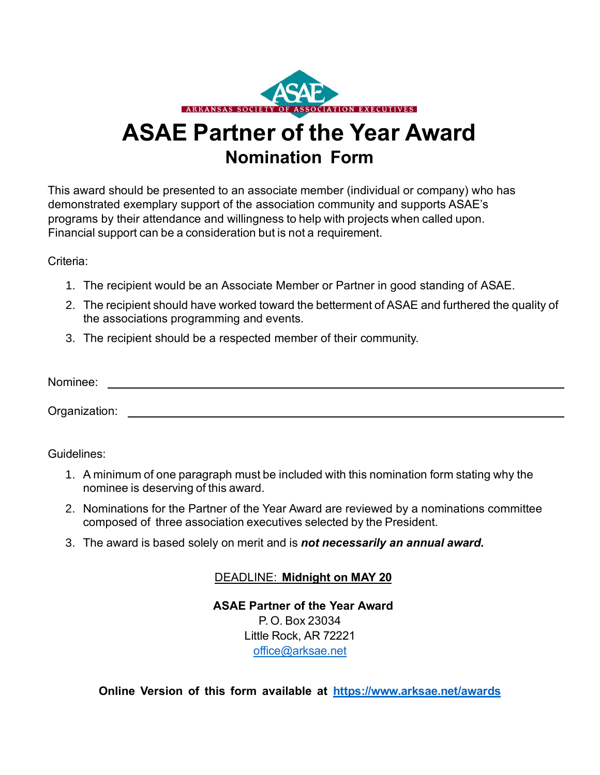

# **ASAE Partner of the Year Award Nomination Form**

This award should be presented to an associate member (individual or company) who has demonstrated exemplary support of the association community and supports ASAE's programs by their attendance and willingness to help with projects when called upon. Financial support can be a consideration but is not a requirement.

Criteria:

- 1. The recipient would be an Associate Member or Partner in good standing of ASAE.
- 2. The recipient should have worked toward the betterment of ASAE and furthered the quality of the associations programming and events.
- 3. The recipient should be a respected member of their community.

| Nominee: |  |  |
|----------|--|--|
|          |  |  |

Organization:

Guidelines:

- 1. A minimum of one paragraph must be included with this nomination form stating why the nominee is deserving of this award.
- 2. Nominations for the Partner of the Year Award are reviewed by a nominations committee composed of three association executives selected by the President.
- 3. The award is based solely on merit and is *not necessarily an annual award.*

### DEADLINE: **Midnight on MAY 20**

**ASAE Partner of the Year Award** P. O. Box 23034 Little Rock, AR 72221 [office@arksae.net](mailto:office@arksae.net)

**Online Version of this form available at <https://www.arksae.net/awards>**